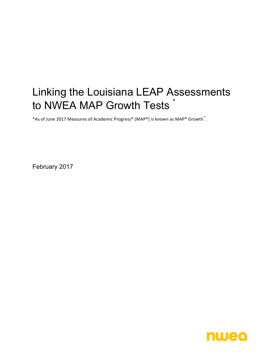# Linking the Louisiana LEAP Assessments to NWEA MAP Growth Tests \*

 $*$ As of June 2017 Measures of Academic Progress® (MAP®) is known as MAP® Growth<sup>"\*</sup>.

February 2017

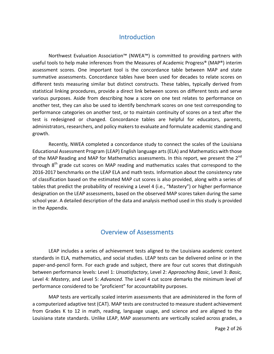## Introduction

Northwest Evaluation Association™ (NWEA™) is committed to providing partners with useful tools to help make inferences from the Measures of Academic Progress<sup>®</sup> (MAP<sup>®</sup>) interim assessment scores. One important tool is the concordance table between MAP and state summative assessments. Concordance tables have been used for decades to relate scores on different tests measuring similar but distinct constructs. These tables, typically derived from statistical linking procedures, provide a direct link between scores on different tests and serve various purposes. Aside from describing how a score on one test relates to performance on another test, they can also be used to identify benchmark scores on one test corresponding to performance categories on another test, or to maintain continuity of scores on a test after the test is redesigned or changed. Concordance tables are helpful for educators, parents, administrators, researchers, and policy makers to evaluate and formulate academic standing and growth. 

Recently, NWEA completed a concordance study to connect the scales of the Louisiana Educational Assessment Program (LEAP) English language arts (ELA) and Mathematics with those of the MAP Reading and MAP for Mathematics assessments. In this report, we present the  $2^{nd}$ through  $8<sup>th</sup>$  grade cut scores on MAP reading and mathematics scales that correspond to the 2016-2017 benchmarks on the LEAP ELA and math tests. Information about the consistency rate of classification based on the estimated MAP cut scores is also provided, along with a series of tables that predict the probability of receiving a Level 4 (i.e., "Mastery") or higher performance designation on the LEAP assessments, based on the observed MAP scores taken during the same school year. A detailed description of the data and analysis method used in this study is provided in the Appendix.

# Overview of Assessments

LEAP includes a series of achievement tests aligned to the Louisiana academic content standards in ELA, mathematics, and social studies. LEAP tests can be delivered online or in the paper-and-pencil form. For each grade and subject, there are four cut scores that distinguish between performance levels: Level 1: *Unsatisfactory*, Level 2: *Approaching Basic*, Level 3: *Basic*, Level 4: *Mastery*, and Level 5: *Advanced*. The Level 4 cut score demarks the minimum level of performance considered to be "proficient" for accountability purposes.

MAP tests are vertically scaled interim assessments that are administered in the form of a computerized adaptive test (CAT). MAP tests are constructed to measure student achievement from Grades K to 12 in math, reading, language usage, and science and are aligned to the Louisiana state standards. Unlike LEAP, MAP assessments are vertically scaled across grades, a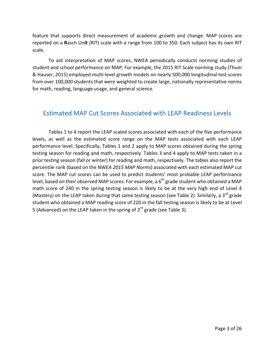feature that supports direct measurement of academic growth and change. MAP scores are reported on a Rasch Unit (RIT) scale with a range from 100 to 350. Each subject has its own RIT scale. 

To aid interpretation of MAP scores, NWEA periodically conducts norming studies of student and school performance on MAP. For example, the 2015 RIT Scale norming study (Thum & Hauser, 2015) employed multi-level growth models on nearly 500,000 longitudinal test scores from over 100,000 students that were weighted to create large, nationally representative norms for math, reading, language usage, and general science.

# Estimated MAP Cut Scores Associated with LEAP Readiness Levels

Tables 1 to 4 report the LEAP scaled scores associated with each of the five performance levels, as well as the estimated score range on the MAP tests associated with each LEAP performance level. Specifically, Tables 1 and 2 apply to MAP scores obtained during the spring testing season for reading and math, respectively. Tables 3 and 4 apply to MAP tests taken in a prior testing season (fall or winter) for reading and math, respectively. The tables also report the percentile rank (based on the *NWEA 2015 MAP Norms*) associated with each estimated MAP cut score. The MAP cut scores can be used to predict students' most probable LEAP performance level, based on their observed MAP scores. For example, a  $6<sup>th</sup>$  grade student who obtained a MAP math score of 240 in the spring testing season is likely to be at the very high end of Level 4 (Mastery) on the LEAP taken during that same testing season (see Table 2). Similarly, a 3<sup>rd</sup> grade student who obtained a MAP reading score of 220 in the fall testing season is likely to be at Level 5 (Advanced) on the LEAP taken in the spring of  $3^{rd}$  grade (see Table 3).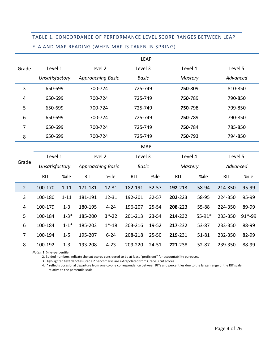# TABLE 1. CONCORDANCE OF PERFORMANCE LEVEL SCORE RANGES BETWEEN LEAP

|                | <b>LEAP</b>    |          |                          |           |              |            |                |            |            |        |
|----------------|----------------|----------|--------------------------|-----------|--------------|------------|----------------|------------|------------|--------|
| Grade          | Level 1        |          | Level 2                  |           | Level 3      |            | Level 4        |            | Level 5    |        |
|                | Unsatisfactory |          | <b>Approaching Basic</b> |           | <b>Basic</b> |            | <b>Mastery</b> |            | Advanced   |        |
| 3              | 650-699        |          | 700-724                  |           | 725-749      |            | 750-809        |            | 810-850    |        |
| 4              | 650-699        |          | 700-724                  |           | 725-749      |            | 750-789        |            | 790-850    |        |
| 5              | 650-699        |          |                          | 700-724   |              | 725-749    |                | 750-798    | 799-850    |        |
| 6              | 650-699        |          | 700-724                  |           | 725-749      |            | 750-789        |            | 790-850    |        |
| 7              | 650-699        |          | 700-724                  |           | 725-749      |            | 750-784        |            | 785-850    |        |
| 8              | 650-699        |          | 700-724                  |           | 725-749      |            | 750-793        |            | 794-850    |        |
|                |                |          |                          |           |              | <b>MAP</b> |                |            |            |        |
|                | Level 1        |          | Level 2                  |           | Level 3      |            | Level 4        |            | Level 5    |        |
| Grade          | Unsatisfactory |          | <b>Approaching Basic</b> |           | <b>Basic</b> |            | Mastery        |            | Advanced   |        |
|                | <b>RIT</b>     | %ile     | <b>RIT</b>               | %ile      | <b>RIT</b>   | %ile       | <b>RIT</b>     | %ile       | <b>RIT</b> | %ile   |
| $\overline{2}$ | 100-170        | $1 - 11$ | 171-181                  | 12-31     | 182-191      | 32-57      | 192-213        | 58-94      | 214-350    | 95-99  |
| 3              | 100-180        | $1 - 11$ | 181-191                  | 12-31     | 192-201      | 32-57      | 202-223        | 58-95      | 224-350    | 95-99  |
| 4              | 100-179        | $1 - 3$  | 180-195                  | $4 - 24$  | 196-207      | 25-54      | 208-223        | 55-88      | 224-350    | 89-99  |
| 5              | 100-184        | $1 - 3*$ | 185-200                  | $3*-22$   | 201-213      | 23-54      | 214-232        | $55 - 91*$ | 233-350    | 91*-99 |
| 6              | 100-184        | $1 - 1*$ | 185-202                  | $1* - 18$ | 203-216      | 19-52      | 217-232        | 53-87      | 233-350    | 88-99  |
| $\overline{7}$ | 100-194        | $1 - 5$  | 195-207                  | $6 - 24$  | 208-218      | $25 - 50$  | 219-231        | 51-81      | 232-350    | 82-99  |
| 8              | 100-192        | $1 - 3$  | 193-208                  | $4 - 23$  | 209-220      | 24-51      | 221-238        | 52-87      | 239-350    | 88-99  |

#### ELA AND MAP READING (WHEN MAP IS TAKEN IN SPRING)

*Notes.* 1. %ile=percentile.

2. Bolded numbers indicate the cut scores considered to be at least "proficient" for accountability purposes.

3. High-lighted text denotes Grade 2 benchmarks are extrapolated from Grade 3 cut scores.

4. \* reflects occasional departure from one-to-one correspondence between RITs and percentiles due to the larger range of the RIT scale relative to the percentile scale.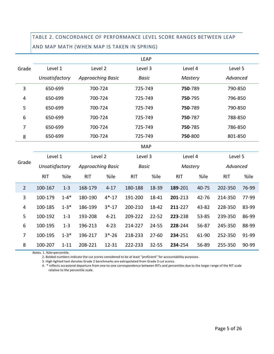# TABLE 2. CONCORDANCE OF PERFORMANCE LEVEL SCORE RANGES BETWEEN LEAP AND MAP MATH (WHEN MAP IS TAKEN IN SPRING)

|                |                |          |                          |           | <b>LEAP</b>  |           |            |         |            |       |
|----------------|----------------|----------|--------------------------|-----------|--------------|-----------|------------|---------|------------|-------|
| Grade          | Level 1        | Level 2  |                          |           | Level 3      |           | Level 4    | Level 5 |            |       |
|                | Unsatisfactory |          | <b>Approaching Basic</b> |           | <b>Basic</b> |           | Mastery    |         | Advanced   |       |
| 3              | 650-699        |          | 700-724                  |           | 725-749      |           | 750-789    |         | 790-850    |       |
| 4              | 650-699        |          | 700-724                  |           | 725-749      |           | 750-795    |         | 796-850    |       |
| 5              | 650-699        |          | 700-724                  |           | 725-749      |           | 750-789    |         | 790-850    |       |
| 6              | 650-699        |          | 700-724                  |           | 725-749      |           | 750-787    |         | 788-850    |       |
| $\overline{7}$ | 650-699        |          | 700-724                  |           | 725-749      |           | 750-785    |         | 786-850    |       |
| 8              | 650-699        |          | 700-724                  |           | 725-749      |           | 750-800    |         | 801-850    |       |
|                |                |          |                          |           | <b>MAP</b>   |           |            |         |            |       |
|                | Level 1        |          | Level 2                  |           | Level 3      |           | Level 4    |         | Level 5    |       |
| Grade          | Unsatisfactory |          | <b>Approaching Basic</b> |           | <b>Basic</b> |           | Mastery    |         | Advanced   |       |
|                | <b>RIT</b>     | %ile     | <b>RIT</b>               | %ile      | <b>RIT</b>   | %ile      | <b>RIT</b> | %ile    | <b>RIT</b> | %ile  |
| $\overline{2}$ | 100-167        | $1 - 3$  | 168-179                  | $4 - 17$  | 180-188      | 18-39     | 189-201    | 40-75   | 202-350    | 76-99 |
| 3              | 100-179        | $1 - 4*$ | 180-190                  | $4* - 17$ | 191-200      | 18-41     | 201-213    | 42-76   | 214-350    | 77-99 |
| 4              | 100-185        | $1 - 3*$ | 186-199                  | $3*-17$   | 200-210      | 18-42     | 211-227    | 43-82   | 228-350    | 83-99 |
| 5              | 100-192        | $1 - 3$  | 193-208                  | $4 - 21$  | 209-222      | $22 - 52$ | 223-238    | 53-85   | 239-350    | 86-99 |
| 6              | 100-195        | $1 - 3$  | 196-213                  | $4 - 23$  | 214-227      | 24-55     | 228-244    | 56-87   | 245-350    | 88-99 |
| $\overline{7}$ | 100-195        | $1 - 3*$ | 196-217                  | $3*-26$   | 218-233      | 27-60     | 234-251    | 61-90   | 252-350    | 91-99 |
| 8              | 100-207        | $1 - 11$ | 208-221                  | 12-31     | 222-233      | 32-55     | 234-254    | 56-89   | 255-350    | 90-99 |

*Notes.* 1. %ile=percentile.

2. Bolded numbers indicate the cut scores considered to be at least "proficient" for accountability purposes.

3. High-lighted text denotes Grade 2 benchmarks are extrapolated from Grade 3 cut scores.

4. \* reflects occasional departure from one-to-one correspondence between RITs and percentiles due to the larger range of the RIT scale relative to the percentile scale.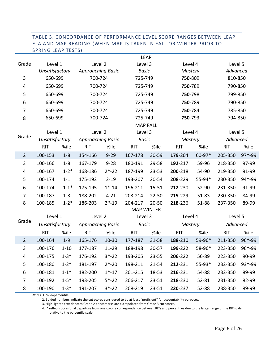### TABLE 3. CONCORDANCE OF PERFORMANCE LEVEL SCORE RANGES BETWEEN LEAP ELA AND MAP READING (WHEN MAP IS TAKEN IN FALL OR WINTER PRIOR TO SPRING LEAP TESTS)

|                |                |          |                          |           | <b>LEAP</b>       |           |            |        |            |        |  |
|----------------|----------------|----------|--------------------------|-----------|-------------------|-----------|------------|--------|------------|--------|--|
| Grade          | Level 1        |          | Level 2                  |           | Level 3           |           | Level 4    |        | Level 5    |        |  |
|                | Unsatisfactory |          | <b>Approaching Basic</b> |           | <b>Basic</b>      |           | Mastery    |        | Advanced   |        |  |
| 3              | 650-699        |          | 700-724                  |           | 725-749           |           | 750-809    |        | 810-850    |        |  |
| 4              | 650-699        |          | 700-724                  |           | 725-749           |           | 750-789    |        | 790-850    |        |  |
| 5              | 650-699        |          | 700-724                  |           | 725-749           |           | 750-798    |        | 799-850    |        |  |
| 6              | 650-699        |          | 700-724                  |           | 725-749           |           | 750-789    |        | 790-850    |        |  |
| 7              | 650-699        |          | 700-724                  |           | 725-749           |           | 750-784    |        | 785-850    |        |  |
| 8              | 650-699        |          | 700-724                  |           | 725-749           |           | 750-793    |        | 794-850    |        |  |
|                |                |          |                          |           | <b>MAP FALL</b>   |           |            |        |            |        |  |
|                | Level 1        |          | Level 2                  |           | Level 3           |           | Level 4    |        | Level 5    |        |  |
| Grade          | Unsatisfactory |          | <b>Approaching Basic</b> |           | <b>Basic</b>      |           | Mastery    |        | Advanced   |        |  |
|                | <b>RIT</b>     | %ile     | <b>RIT</b>               | %ile      | <b>RIT</b>        | %ile      | <b>RIT</b> | %ile   | <b>RIT</b> | %ile   |  |
| $\overline{2}$ | 100-153        | $1 - 8$  | 154-166                  | $9 - 29$  | 167-178           | 30-59     | 179-204    | 60-97* | 205-350    | 97*-99 |  |
| 3              | 100-166        | $1-8$    | 167-179                  | $9 - 28$  | 180-191           | 29-58     | 192-217    | 59-96  | 218-350    | 97-99  |  |
| 4              | 100-167        | $1 - 2*$ | 168-186                  | $2*-22$   | 187-199           | 23-53     | 200-218    | 54-90  | 219-350    | 91-99  |  |
| 5              | 100-174        | $1 - 1$  | 175-192                  | $2 - 19$  | 193-207           | 20-54     | 208-229    | 55-94* | 230-350    | 94*-99 |  |
| 6              | 100-174        | $1 - 1*$ | 175-195                  | $1* - 14$ | 196-211           | 15-51     | 212-230    | 52-90  | 231-350    | 91-99  |  |
| $\overline{7}$ | 100-187        | $1 - 3$  | 188-202                  | $4 - 21$  | 203-214           | 22-50     | 215-229    | 51-83  | 230-350    | 84-99  |  |
| 8              | 100-185        | $1 - 2*$ | 186-203                  | $2*-19$   | 204-217           | 20-50     | 218-236    | 51-88  | 237-350    | 89-99  |  |
|                |                |          |                          |           | <b>MAP WINTER</b> |           |            |        |            |        |  |
| Grade          | Level 1        |          | Level 2                  |           | Level 3           |           | Level 4    |        | Level 5    |        |  |
|                | Unsatisfactory |          | <b>Approaching Basic</b> |           | <b>Basic</b>      |           | Mastery    |        | Advanced   |        |  |
|                | <b>RIT</b>     | %ile     | <b>RIT</b>               | %ile      | <b>RIT</b>        | %ile      | <b>RIT</b> | %ile   | <b>RIT</b> | %ile   |  |
| $\overline{2}$ | 100-164        | $1-9$    | 165-176                  | 10-30     | 177-187           | 31-58     | 188-210    | 59-96* | 211-350    | 96*-99 |  |
| 3              | 100-176        | $1 - 10$ | 177-187                  | 11-29     | 188-198           | 30-57     | 199-222    | 58-96* | 223-350    | 96*-99 |  |
| 4              | 100-175        | $1 - 3*$ | 176-192                  | $3*-22$   | 193-205           | 23-55     | 206-222    | 56-89  | 223-350    | 90-99  |  |
| 5              | 100-180        | $1 - 2*$ | 181-197                  | $2*-20$   | 198-211           | 21-54     | 212-231    | 55-93* | 232-350    | 93*-99 |  |
| 6              | 100-181        | $1 - 1*$ | 182-200                  | $1* - 17$ | 201-215           | 18-53     | 216-231    | 54-88  | 232-350    | 89-99  |  |
| 7              | 100-192        | $1 - 5*$ | 193-205                  | $5*-22$   | 206-217           | $23 - 51$ | 218-230    | 52-81  | 231-350    | 82-99  |  |
| 8              | 100-190        | $1 - 3*$ | 191-207                  | $3*-22$   | 208-219           | 23-51     | 220-237    | 52-88  | 238-350    | 89-99  |  |

*Notes.* 1. %ile=percentile.

2. Bolded numbers indicate the cut scores considered to be at least "proficient" for accountability purposes.

3. High-lighted text denotes Grade 2 benchmarks are extrapolated from Grade 3 cut scores.

4. \* reflects occasional departure from one-to-one correspondence between RITs and percentiles due to the larger range of the RIT scale relative to the percentile scale.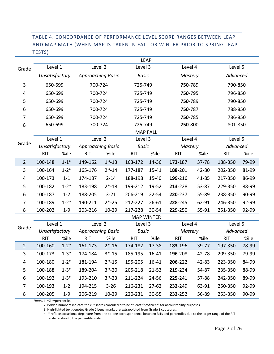## TABLE 4. CONCORDANCE OF PERFORMANCE LEVEL SCORE RANGES BETWEEN LEAP AND MAP MATH (WHEN MAP IS TAKEN IN FALL OR WINTER PRIOR TO SPRING LEAP TESTS)

|                |                |          |                          |           |              | <b>LEAP</b>       |                |         |            |       |  |
|----------------|----------------|----------|--------------------------|-----------|--------------|-------------------|----------------|---------|------------|-------|--|
| Grade          | Level 1        |          | Level 2                  |           | Level 3      |                   | Level 4        |         | Level 5    |       |  |
|                | Unsatisfactory |          | <b>Approaching Basic</b> |           | <b>Basic</b> |                   | <b>Mastery</b> |         | Advanced   |       |  |
| 3              | 650-699        |          | 700-724                  |           | 725-749      |                   | 750-789        |         | 790-850    |       |  |
| 4              | 650-699        |          | 700-724                  |           | 725-749      |                   | 750-795        |         | 796-850    |       |  |
| 5              | 650-699        |          | 700-724                  |           |              | 725-749           |                | 750-789 | 790-850    |       |  |
| 6              | 650-699        |          | 700-724                  |           | 725-749      |                   | 750-787        |         | 788-850    |       |  |
| 7              | 650-699        |          | 700-724                  |           | 725-749      |                   | 750-785        |         | 786-850    |       |  |
| 8              | 650-699        |          | 700-724                  |           | 725-749      |                   | 750-800        |         | 801-850    |       |  |
|                |                |          |                          |           |              | <b>MAP FALL</b>   |                |         |            |       |  |
|                | Level 1        |          | Level 2                  |           | Level 3      |                   | Level 4        |         | Level 5    |       |  |
| Grade          | Unsatisfactory |          | <b>Approaching Basic</b> |           | <b>Basic</b> |                   | Mastery        |         | Advanced   |       |  |
|                | <b>RIT</b>     | %ile     | <b>RIT</b>               | %ile      |              | %ile              | <b>RIT</b>     | %ile    | <b>RIT</b> | %ile  |  |
| $\overline{2}$ | 100-148        | $1 - 1*$ | 149-162                  | $1* - 13$ | 163-172      | 14-36             | 173-187        | 37-78   | 188-350    | 79-99 |  |
| 3              | 100-164        | $1 - 2*$ | 165-176                  | $2*-14$   | 177-187      | 15-41             | 188-201        | 42-80   | 202-350    | 81-99 |  |
| 4              | 100-173        | $1 - 1$  | 174-187                  | $2 - 14$  | 188-198      | 15-40             | 199-216        | 41-85   | 217-350    | 86-99 |  |
| 5              | 100-182        | $1 - 2*$ | 183-198                  | $2*-18$   | 199-212      | 19-52             | 213-228        | 53-87   | 229-350    | 88-99 |  |
| 6              | 100-187        | $1 - 2$  | 188-205                  | $3 - 21$  | 206-219      | 22-54             | 220-237        | 55-89   | 238-350    | 90-99 |  |
| $\overline{7}$ | 100-189        | $1 - 2*$ | 190-211                  | $2*-25$   | 212-227      | 26-61             | 228-245        | 62-91   | 246-350    | 92-99 |  |
| 8              | 100-202        | $1-9$    | 203-216                  | 10-29     | 217-228      | 30-54             | 229-250        | 55-91   | 251-350    | 92-99 |  |
|                |                |          |                          |           |              | <b>MAP WINTER</b> |                |         |            |       |  |
| Grade          | Level 1        |          | Level 2                  |           | Level 3      |                   | Level 4        |         | Level 5    |       |  |
|                | Unsatisfactory |          | <b>Approaching Basic</b> |           | <b>Basic</b> |                   | Mastery        |         | Advanced   |       |  |
|                | <b>RIT</b>     | %ile     | <b>RIT</b>               | %ile      | <b>RIT</b>   | %ile              | <b>RIT</b>     | %ile    | <b>RIT</b> | %ile  |  |
| $\overline{2}$ | 100-160        | $1 - 2*$ | 161-173                  | $2*-16$   | 174-182      | 17-38             | 183-196        | 39-77   | 197-350    | 78-99 |  |
| 3              | 100-173        | $1 - 3*$ | 174-184                  | $3*-15$   | 185-195      | 16-41             | 196-208        | 42-78   | 209-350    | 79-99 |  |
| 4              | 100-180        | $1 - 2*$ | 181-194                  | $2*-15$   | 195-205      | 16-41             | 206-222        | 42-83   | 223-350    | 84-99 |  |
| 5              | 100-188        | $1 - 3*$ | 189-204                  | $3*-20$   | 205-218      | $21 - 53$         | 219-234        | 54-87   | 235-350    | 88-99 |  |
| 6              | 100-192        | $1 - 3*$ | 193-210                  | $3*-23$   | 211-224      | 24-56             | 225-241        | 57-88   | 242-350    | 89-99 |  |
| $\overline{7}$ | 100-193        | $1 - 2$  | 194-215                  | $3 - 26$  | 216-231      | $27 - 62$         | 232-249        | 63-91   | 250-350    | 92-99 |  |
| 8              | 100-205        | $1 - 9$  | 206-219                  | $10 - 29$ | 220-231      | 30-55             | 232-252        | 56-89   | 253-350    | 90-99 |  |

*Notes.* 1. %ile=percentile.

2. Bolded numbers indicate the cut scores considered to be at least "proficient" for accountability purposes.

3. High-lighted text denotes Grade 2 benchmarks are extrapolated from Grade 3 cut scores.

4. \* reflects occasional departure from one-to-one correspondence between RITs and percentiles due to the larger range of the RIT scale relative to the percentile scale.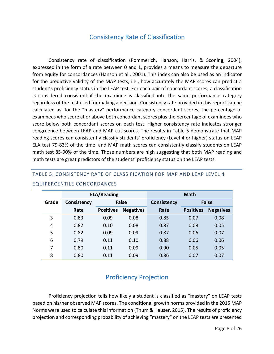# Consistency Rate of Classification

Consistency rate of classification (Pommerich, Hanson, Harris, & Sconing, 2004), expressed in the form of a rate between 0 and 1, provides a means to measure the departure from equity for concordances (Hanson et al., 2001). This index can also be used as an indicator for the predictive validity of the MAP tests, i.e., how accurately the MAP scores can predict a student's proficiency status in the LEAP test. For each pair of concordant scores, a classification is considered consistent if the examinee is classified into the same performance category regardless of the test used for making a decision. Consistency rate provided in this report can be calculated as, for the "mastery" performance category concordant scores, the percentage of examinees who score at or above both concordant scores plus the percentage of examinees who score below both concordant scores on each test. Higher consistency rate indicates stronger congruence between LEAP and MAP cut scores. The results in Table 5 demonstrate that MAP reading scores can consistently classify students' proficiency (Level 4 or higher) status on LEAP ELA test 79-83% of the time, and MAP math scores can consistently classify students on LEAP math test 85-90% of the time. Those numbers are high suggesting that both MAP reading and math tests are great predictors of the students' proficiency status on the LEAP tests.

|       |                    | <b>ELA/Reading</b> |                  | <b>Math</b>        |                  |                  |  |  |  |
|-------|--------------------|--------------------|------------------|--------------------|------------------|------------------|--|--|--|
| Grade | <b>Consistency</b> |                    | <b>False</b>     | <b>Consistency</b> |                  | <b>False</b>     |  |  |  |
|       | Rate               | <b>Positives</b>   | <b>Negatives</b> | Rate               | <b>Positives</b> | <b>Negatives</b> |  |  |  |
| 3     | 0.83               | 0.09               | 0.08             | 0.85               | 0.07             | 0.08             |  |  |  |
| 4     | 0.82               | 0.10               | 0.08             | 0.87               | 0.08             | 0.05             |  |  |  |
| 5     | 0.82               | 0.09               | 0.09             | 0.87               | 0.06             | 0.07             |  |  |  |
| 6     | 0.79               | 0.11               | 0.10             | 0.88               | 0.06             | 0.06             |  |  |  |
| 7     | 0.80               | 0.11               | 0.09             | 0.90               | 0.05             | 0.05             |  |  |  |
| 8     | 0.80               | 0.11               | 0.09             | 0.86               | 0.07             | 0.07             |  |  |  |

#### TABLE 5. CONSISTENCY RATE OF CLASSIFICATION FOR MAP AND LEAP LEVEL 4

#### EQUIPERCENTILE CONCORDANCES

## Proficiency Projection

Proficiency projection tells how likely a student is classified as "mastery" on LEAP tests based on his/her observed MAP scores. The conditional growth norms provided in the 2015 MAP Norms were used to calculate this information (Thum & Hauser, 2015). The results of proficiency projection and corresponding probability of achieving "mastery" on the LEAP tests are presented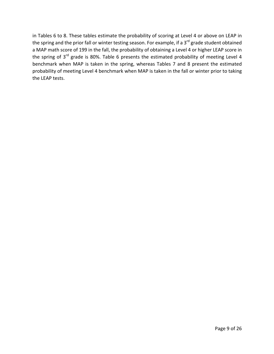in Tables 6 to 8. These tables estimate the probability of scoring at Level 4 or above on LEAP in the spring and the prior fall or winter testing season. For example, if a  $3<sup>rd</sup>$  grade student obtained a MAP math score of 199 in the fall, the probability of obtaining a Level 4 or higher LEAP score in the spring of  $3^{rd}$  grade is 80%. Table 6 presents the estimated probability of meeting Level 4 benchmark when MAP is taken in the spring, whereas Tables 7 and 8 present the estimated probability of meeting Level 4 benchmark when MAP is taken in the fall or winter prior to taking the LEAP tests.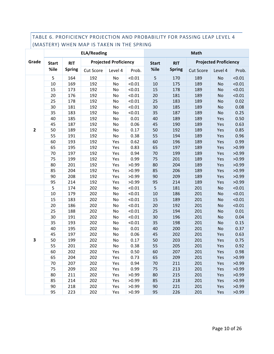## TABLE 6. PROFICIENCY PROJECTION AND PROBABILITY FOR PASSING LEAP LEVEL 4 (MASTERY) WHEN MAP IS TAKEN IN THE SPRING

| Grade                   |              |               | <b>ELA/Reading</b> |                              |        | Math         |               |                  |                              |        |  |
|-------------------------|--------------|---------------|--------------------|------------------------------|--------|--------------|---------------|------------------|------------------------------|--------|--|
|                         | <b>Start</b> | <b>RIT</b>    |                    | <b>Projected Proficiency</b> |        | <b>Start</b> | <b>RIT</b>    |                  | <b>Projected Proficiency</b> |        |  |
|                         | %ile         | <b>Spring</b> | Cut Score          | Level 4                      | Prob.  | %ile         | <b>Spring</b> | <b>Cut Score</b> | Level 4                      | Prob.  |  |
|                         | 5            | 164           | 192                | No                           | < 0.01 | 5            | 170           | 189              | No                           | < 0.01 |  |
|                         | 10           | 169           | 192                | No                           | < 0.01 | 10           | 175           | 189              | No                           | < 0.01 |  |
|                         | 15           | 173           | 192                | No                           | < 0.01 | 15           | 178           | 189              | No                           | < 0.01 |  |
|                         | 20           | 176           | 192                | No                           | < 0.01 | 20           | 181           | 189              | No                           | < 0.01 |  |
|                         | 25           | 178           | 192                | No                           | < 0.01 | 25           | 183           | 189              | No                           | 0.02   |  |
|                         | 30           | 181           | 192                | No                           | < 0.01 | 30           | 185           | 189              | No                           | 0.08   |  |
|                         | 35           | 183           | 192                | No                           | < 0.01 | 35           | 187           | 189              | No                           | 0.25   |  |
|                         | 40           | 185           | 192                | No                           | 0.01   | 40           | 189           | 189              | Yes                          | 0.50   |  |
|                         | 45           | 187           | 192                | No                           | 0.06   | 45           | 190           | 189              | Yes                          | 0.63   |  |
| $\overline{\mathbf{2}}$ | 50           | 189           | 192                | No                           | 0.17   | 50           | 192           | 189              | Yes                          | 0.85   |  |
|                         | 55           | 191           | 192                | No                           | 0.38   | 55           | 194           | 189              | Yes                          | 0.96   |  |
|                         | 60           | 193           | 192                | Yes                          | 0.62   | 60           | 196           | 189              | Yes                          | 0.99   |  |
|                         | 65           | 195           | 192                | Yes                          | 0.83   | 65           | 197           | 189              | Yes                          | >0.99  |  |
|                         | 70           | 197           | 192                | Yes                          | 0.94   | 70           | 199           | 189              | Yes                          | >0.99  |  |
|                         | 75           | 199           | 192                | Yes                          | 0.99   | 75           | 201           | 189              | Yes                          | >0.99  |  |
|                         | 80           | 201           | 192                | Yes                          | >0.99  | 80           | 204           | 189              | Yes                          | >0.99  |  |
|                         | 85           | 204           | 192                | Yes                          | >0.99  | 85           | 206           | 189              | Yes                          | >0.99  |  |
|                         | 90           | 208           | 192                | Yes                          | >0.99  | 90           | 209           | 189              | Yes                          | >0.99  |  |
|                         | 95           | 214           | 192                | Yes                          | >0.99  | 95           | 214           | 189              | Yes                          | >0.99  |  |
|                         | 5            | 174           | 202                | No                           | < 0.01 | 5            | 181           | 201              | No                           | < 0.01 |  |
|                         | $10\,$       | 179           | 202                | No                           | < 0.01 | 10           | 186           | 201              | No                           | < 0.01 |  |
|                         | 15           | 183           | 202                | No                           | < 0.01 | 15           | 189           | 201              | No                           | < 0.01 |  |
|                         | 20           | 186           | 202                | No                           | < 0.01 | 20           | 192           | 201              | No                           | < 0.01 |  |
|                         | 25           | 188           | 202                | No                           | < 0.01 | 25           | 194           | 201              | No                           | 0.01   |  |
|                         | 30           | 191           | 202                | No                           | < 0.01 | 30           | 196           | 201              | No                           | 0.04   |  |
|                         | 35           | 193           | 202                | No                           | < 0.01 | 35           | 198           | 201              | No                           | 0.15   |  |
|                         | 40           | 195           | 202                | No                           | 0.01   | 40           | 200           | 201              | No                           | 0.37   |  |
|                         | 45           | 197           | 202                | No                           | 0.06   | 45           | 202           | 201              | Yes                          | 0.63   |  |
| 3                       | 50           | 199           | 202                | No                           | 0.17   | 50           | 203           | 201              | Yes                          | 0.75   |  |
|                         | 55           | 201           | 202                | No                           | 0.38   | 55           | 205           | 201              | Yes                          | 0.92   |  |
|                         | 60           | 202           | 202                | Yes                          | 0.50   | 60           | 207           | 201              | Yes                          | 0.98   |  |
|                         | 65           | 204           | 202                | Yes                          | 0.73   | 65           | 209           | 201              | Yes                          | >0.99  |  |
|                         | 70           | 207           | 202                | Yes                          | 0.94   | 70           | 211           | 201              | Yes                          | >0.99  |  |
|                         | 75           | 209           | 202                | Yes                          | 0.99   | 75           | 213           | 201              | Yes                          | >0.99  |  |
|                         | 80           | 211           | 202                | Yes                          | >0.99  | 80           | 215           | 201              | Yes                          | >0.99  |  |
|                         | 85           | 214           | 202                | Yes                          | >0.99  | 85           | 218           | 201              | Yes                          | >0.99  |  |
|                         | 90           | 218           | 202                | Yes                          | >0.99  | 90           | 221           | 201              | Yes                          | >0.99  |  |
|                         | 95           | 223           | 202                | Yes                          | >0.99  | 95           | 226           | 201              | Yes                          | >0.99  |  |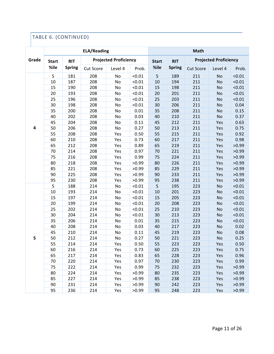# TABLE 6. (CONTINUED)

|       |              |               | <b>ELA/Reading</b> |                              |        |              |               | Math             |                              |        |
|-------|--------------|---------------|--------------------|------------------------------|--------|--------------|---------------|------------------|------------------------------|--------|
| Grade | <b>Start</b> | <b>RIT</b>    |                    | <b>Projected Proficiency</b> |        | <b>Start</b> | <b>RIT</b>    |                  | <b>Projected Proficiency</b> |        |
|       | %ile         | <b>Spring</b> | Cut Score          | Level 4                      | Prob.  | %ile         | <b>Spring</b> | <b>Cut Score</b> | Level 4                      | Prob.  |
|       | 5            | 181           | 208                | No                           | < 0.01 | 5            | 189           | 211              | <b>No</b>                    | < 0.01 |
|       | 10           | 187           | 208                | No                           | < 0.01 | 10           | 194           | 211              | No                           | < 0.01 |
|       | 15           | 190           | 208                | No                           | < 0.01 | 15           | 198           | 211              | No                           | < 0.01 |
|       | 20           | 193           | 208                | No                           | < 0.01 | 20           | 201           | 211              | No                           | < 0.01 |
|       | 25           | 196           | 208                | No                           | < 0.01 | 25           | 203           | 211              | No                           | < 0.01 |
|       | 30           | 198           | 208                | No                           | < 0.01 | 30           | 206           | 211              | No                           | 0.04   |
|       | 35           | 200           | 208                | No                           | 0.01   | 35           | 208           | 211              | No                           | 0.15   |
|       | 40           | 202           | 208                | No                           | 0.03   | 40           | 210           | 211              | No                           | 0.37   |
|       | 45           | 204           | 208                | No                           | 0.11   | 45           | 212           | 211              | Yes                          | 0.63   |
| 4     | 50           | 206           | 208                | No                           | 0.27   | 50           | 213           | 211              | Yes                          | 0.75   |
|       | 55           | 208           | 208                | Yes                          | 0.50   | 55           | 215           | 211              | Yes                          | 0.92   |
|       | 60           | 210           | 208                | Yes                          | 0.73   | 60           | 217           | 211              | Yes                          | 0.98   |
|       | 65           | 212           | 208                | Yes                          | 0.89   | 65           | 219           | 211              | Yes                          | >0.99  |
|       | 70           | 214           | 208                | Yes                          | 0.97   | 70           | 221           | 211              | Yes                          | >0.99  |
|       | 75           | 216           | 208                | Yes                          | 0.99   | 75           | 224           | 211              | Yes                          | >0.99  |
|       | 80           | 218           | 208                | Yes                          | >0.99  | 80           | 226           | 211              | Yes                          | >0.99  |
|       | 85           | 221           | 208                | Yes                          | >0.99  | 85           | 229           | 211              | Yes                          | >0.99  |
|       | 90           | 225           | 208                | Yes                          | >0.99  | 90           | 233           | 211              | Yes                          | >0.99  |
|       | 95           | 230           | 208                | Yes                          | >0.99  | 95           | 238           | 211              | Yes                          | >0.99  |
|       | 5            | 188           | 214                | No                           | < 0.01 | 5            | 195           | 223              | No                           | < 0.01 |
|       | 10           | 193           | 214                | No                           | < 0.01 | 10           | 201           | 223              | No                           | < 0.01 |
|       | 15           | 197           | 214                | No                           | < 0.01 | 15           | 205           | 223              | No                           | < 0.01 |
|       | 20           | 199           | 214                | No                           | < 0.01 | 20           | 208           | 223              | No                           | < 0.01 |
|       | 25           | 202           | 214                | No                           | < 0.01 | 25           | 210           | 223              | No                           | < 0.01 |
|       | 30           | 204           | 214                | No                           | < 0.01 | 30           | 213           | 223              | No                           | < 0.01 |
|       | 35           | 206           | 214                | No                           | 0.01   | 35           | 215           | 223              | No                           | < 0.01 |
|       | 40           | 208           | 214                | No                           | 0.03   | 40           | 217           | 223              | No                           | 0.02   |
|       | 45           | 210           | 214                | No                           | 0.11   | 45           | 219           | 223              | No                           | 0.08   |
| 5     | 50           | 212           | 214                | No                           | 0.27   | 50           | 221           | 223              | No                           | 0.25   |
|       | 55           | 214           | 214                | Yes                          | 0.50   | 55           | 223           | 223              | Yes                          | 0.50   |
|       | 60           | 216           | 214                | Yes                          | 0.73   | 60           | 225           | 223              | Yes                          | 0.75   |
|       | 65           | 217           | 214                | Yes                          | 0.83   | 65           | 228           | 223              | Yes                          | 0.96   |
|       | 70           | 220           | 214                | Yes                          | 0.97   | 70           | 230           | 223              | Yes                          | 0.99   |
|       | 75           | 222           | 214                | Yes                          | 0.99   | 75           | 232           | 223              | Yes                          | >0.99  |
|       | 80           | 224           | 214                | Yes                          | >0.99  | 80           | 235           | 223              | Yes                          | >0.99  |
|       | 85           | 227           | 214                | Yes                          | >0.99  | 85           | 238           | 223              | Yes                          | >0.99  |
|       | 90           | 231           | 214                | Yes                          | >0.99  | 90           | 242           | 223              | Yes                          | >0.99  |
|       | 95           | 236           | 214                | Yes                          | >0.99  | 95           | 248           | 223              | Yes                          | >0.99  |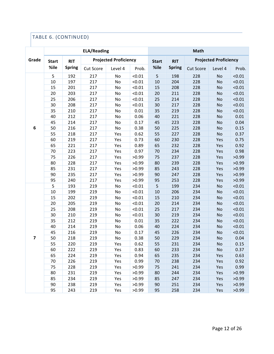# TABLE 6. (CONTINUED)

|                         |              |               | <b>ELA/Reading</b> |                              |        | Math         |               |                  |                              |        |  |
|-------------------------|--------------|---------------|--------------------|------------------------------|--------|--------------|---------------|------------------|------------------------------|--------|--|
| Grade                   | <b>Start</b> | <b>RIT</b>    |                    | <b>Projected Proficiency</b> |        | <b>Start</b> | <b>RIT</b>    |                  | <b>Projected Proficiency</b> |        |  |
|                         | %ile         | <b>Spring</b> | Cut Score          | Level 4                      | Prob.  | %ile         | <b>Spring</b> | <b>Cut Score</b> | Level 4                      | Prob.  |  |
|                         | 5            | 192           | 217                | No                           | < 0.01 | 5            | 198           | 228              | No                           | < 0.01 |  |
|                         | 10           | 197           | 217                | No                           | < 0.01 | 10           | 204           | 228              | No                           | < 0.01 |  |
|                         | 15           | 201           | 217                | No                           | < 0.01 | 15           | 208           | 228              | No                           | < 0.01 |  |
|                         | 20           | 203           | 217                | No                           | < 0.01 | 20           | 211           | 228              | No                           | < 0.01 |  |
|                         | 25           | 206           | 217                | No                           | < 0.01 | 25           | 214           | 228              | No                           | < 0.01 |  |
|                         | 30           | 208           | 217                | No                           | < 0.01 | 30           | 217           | 228              | No                           | < 0.01 |  |
|                         | 35           | 210           | 217                | No                           | 0.01   | 35           | 219           | 228              | No                           | < 0.01 |  |
|                         | 40           | 212           | 217                | No                           | 0.06   | 40           | 221           | 228              | No                           | 0.01   |  |
|                         | 45           | 214           | 217                | No                           | 0.17   | 45           | 223           | 228              | No                           | 0.04   |  |
| 6                       | 50           | 216           | 217                | No                           | 0.38   | 50           | 225           | 228              | No                           | 0.15   |  |
|                         | 55           | 218           | 217                | Yes                          | 0.62   | 55           | 227           | 228              | No                           | 0.37   |  |
|                         | 60           | 219           | 217                | Yes                          | 0.73   | 60           | 230           | 228              | Yes                          | 0.75   |  |
|                         | 65           | 221           | 217                | Yes                          | 0.89   | 65           | 232           | 228              | Yes                          | 0.92   |  |
|                         | 70           | 223           | 217                | Yes                          | 0.97   | 70           | 234           | 228              | Yes                          | 0.98   |  |
|                         | 75           | 226           | 217                | Yes                          | >0.99  | 75           | 237           | 228              | Yes                          | >0.99  |  |
|                         | 80           | 228           | 217                | Yes                          | >0.99  | 80           | 239           | 228              | Yes                          | >0.99  |  |
|                         | 85           | 231           | 217                | Yes                          | >0.99  | 85           | 243           | 228              | Yes                          | >0.99  |  |
|                         | 90           | 235           | 217                | Yes                          | >0.99  | 90           | 247           | 228              | Yes                          | >0.99  |  |
|                         | 95           | 240           | 217                | Yes                          | >0.99  | 95           | 253           | 228              | Yes                          | >0.99  |  |
|                         | 5            | 193           | 219                | No                           | < 0.01 | 5            | 199           | 234              | No                           | < 0.01 |  |
|                         | 10           | 199           | 219                | No                           | < 0.01 | 10           | 206           | 234              | No                           | < 0.01 |  |
|                         | 15           | 202           | 219                | No                           | < 0.01 | 15           | 210           | 234              | No                           | < 0.01 |  |
|                         | 20           | 205           | 219                | No                           | < 0.01 | 20           | 214           | 234              | No                           | < 0.01 |  |
|                         | 25           | 208           | 219                | No                           | < 0.01 | 25           | 217           | 234              | No                           | < 0.01 |  |
|                         | 30           | 210           | 219                | No                           | < 0.01 | 30           | 219           | 234              | No                           | < 0.01 |  |
|                         | 35           | 212           | 219                | No                           | 0.01   | 35           | 222           | 234              | No                           | < 0.01 |  |
|                         | 40           | 214           | 219                | No                           | 0.06   | 40           | 224           | 234              | No                           | < 0.01 |  |
|                         | 45           | 216           | 219                | No                           | 0.17   | 45           | 226           | 234              | No                           | < 0.01 |  |
| $\overline{\mathbf{z}}$ | 50           | 218           | 219                | No                           | 0.38   | 50           | 229           | 234              | No                           | 0.04   |  |
|                         | 55           | 220           | 219                | Yes                          | 0.62   | 55           | 231           | 234              | No                           | 0.15   |  |
|                         | 60           | 222           | 219                | Yes                          | 0.83   | 60           | 233           | 234              | No                           | 0.37   |  |
|                         | 65           | 224           | 219                | Yes                          | 0.94   | 65           | 235           | 234              | Yes                          | 0.63   |  |
|                         | 70           | 226           | 219                | Yes                          | 0.99   | 70           | 238           | 234              | Yes                          | 0.92   |  |
|                         | 75           | 228           | 219                | Yes                          | >0.99  | 75           | 241           | 234              | Yes                          | 0.99   |  |
|                         | 80           | 231           | 219                | Yes                          | >0.99  | 80           | 244           | 234              | Yes                          | >0.99  |  |
|                         | 85           | 234           | 219                | Yes                          | >0.99  | 85           | 247           | 234              | Yes                          | >0.99  |  |
|                         | 90           | 238           | 219                | Yes                          | >0.99  | 90           | 251           | 234              | Yes                          | >0.99  |  |
|                         | 95           | 243           | 219                | Yes                          | >0.99  | 95           | 258           | 234              | Yes                          | >0.99  |  |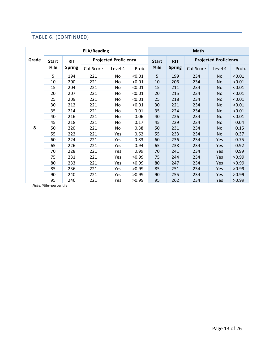### TABLE 6. (CONTINUED)

|       |              |               | <b>ELA/Reading</b> |                              |        | <b>Math</b>  |               |                  |                              |        |  |
|-------|--------------|---------------|--------------------|------------------------------|--------|--------------|---------------|------------------|------------------------------|--------|--|
| Grade | <b>Start</b> | <b>RIT</b>    |                    | <b>Projected Proficiency</b> |        | <b>Start</b> | <b>RIT</b>    |                  | <b>Projected Proficiency</b> |        |  |
|       | %ile         | <b>Spring</b> | Cut Score          | Level 4                      | Prob.  | %ile         | <b>Spring</b> | <b>Cut Score</b> | Level 4                      | Prob.  |  |
|       | 5            | 194           | 221                | No                           | < 0.01 | 5            | 199           | 234              | No                           | < 0.01 |  |
|       | 10           | 200           | 221                | No                           | < 0.01 | 10           | 206           | 234              | No                           | < 0.01 |  |
|       | 15           | 204           | 221                | No                           | < 0.01 | 15           | 211           | 234              | No                           | < 0.01 |  |
|       | 20           | 207           | 221                | No                           | < 0.01 | 20           | 215           | 234              | No                           | < 0.01 |  |
|       | 25           | 209           | 221                | No                           | < 0.01 | 25           | 218           | 234              | No                           | < 0.01 |  |
|       | 30           | 212           | 221                | No                           | < 0.01 | 30           | 221           | 234              | No                           | < 0.01 |  |
|       | 35           | 214           | 221                | No                           | 0.01   | 35           | 224           | 234              | No                           | < 0.01 |  |
|       | 40           | 216           | 221                | No                           | 0.06   | 40           | 226           | 234              | No                           | < 0.01 |  |
|       | 45           | 218           | 221                | No.                          | 0.17   | 45           | 229           | 234              | <b>No</b>                    | 0.04   |  |
| 8     | 50           | 220           | 221                | No                           | 0.38   | 50           | 231           | 234              | No                           | 0.15   |  |
|       | 55           | 222           | 221                | Yes                          | 0.62   | 55           | 233           | 234              | No                           | 0.37   |  |
|       | 60           | 224           | 221                | Yes                          | 0.83   | 60           | 236           | 234              | Yes                          | 0.75   |  |
|       | 65           | 226           | 221                | Yes                          | 0.94   | 65           | 238           | 234              | Yes                          | 0.92   |  |
|       | 70           | 228           | 221                | Yes                          | 0.99   | 70           | 241           | 234              | Yes                          | 0.99   |  |
|       | 75           | 231           | 221                | Yes                          | >0.99  | 75           | 244           | 234              | Yes                          | >0.99  |  |
|       | 80           | 233           | 221                | Yes                          | >0.99  | 80           | 247           | 234              | <b>Yes</b>                   | >0.99  |  |
|       | 85           | 236           | 221                | Yes                          | >0.99  | 85           | 251           | 234              | Yes                          | >0.99  |  |
|       | 90           | 240           | 221                | Yes                          | >0.99  | 90           | 255           | 234              | Yes                          | >0.99  |  |
|       | 95           | 246           | 221                | Yes                          | >0.99  | 95           | 262           | 234              | Yes                          | >0.99  |  |

*Note.* %ile=percentile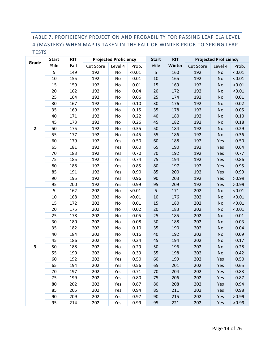## TABLE 7. PROFICIENCY PROJECTION AND PROBABILITY FOR PASSING LEAP ELA LEVEL 4 (MASTERY) WHEN MAP IS TAKEN IN THE FALL OR WINTER PRIOR TO SPRING LEAP TESTS

|              | <b>Start</b> | <b>RIT</b> |           | <b>Projected Proficiency</b> |        | <b>Start</b> | <b>RIT</b> |                  | <b>Projected Proficiency</b> |        |
|--------------|--------------|------------|-----------|------------------------------|--------|--------------|------------|------------------|------------------------------|--------|
| Grade        | %ile         | Fall       | Cut Score | Level 4                      | Prob.  | %ile         | Winter     | <b>Cut Score</b> | Level 4                      | Prob.  |
|              | 5            | 149        | 192       | No                           | < 0.01 | 5            | 160        | 192              | No                           | < 0.01 |
|              | 10           | 155        | 192       | No                           | 0.01   | $10\,$       | 165        | 192              | No                           | < 0.01 |
|              | 15           | 159        | 192       | No                           | 0.01   | 15           | 169        | 192              | No                           | < 0.01 |
|              | 20           | 162        | 192       | No                           | 0.04   | 20           | 172        | 192              | No                           | < 0.01 |
|              | 25           | 164        | 192       | No                           | 0.06   | 25           | 174        | 192              | No                           | 0.01   |
|              | 30           | 167        | 192       | No                           | 0.10   | 30           | 176        | 192              | No                           | 0.02   |
|              | 35           | 169        | 192       | No                           | 0.15   | 35           | 178        | 192              | No                           | 0.05   |
|              | 40           | 171        | 192       | No                           | 0.22   | 40           | 180        | 192              | No                           | 0.10   |
|              | 45           | 173        | 192       | No                           | 0.26   | 45           | 182        | 192              | No                           | 0.18   |
| $\mathbf{2}$ | 50           | 175        | 192       | No                           | 0.35   | 50           | 184        | 192              | No                           | 0.29   |
|              | 55           | 177        | 192       | No                           | 0.45   | 55           | 186        | 192              | No                           | 0.36   |
|              | 60           | 179        | 192       | Yes                          | 0.50   | 60           | 188        | 192              | Yes                          | 0.50   |
|              | 65           | 181        | 192       | Yes                          | 0.60   | 65           | 190        | 192              | Yes                          | 0.64   |
|              | 70           | 183        | 192       | Yes                          | 0.70   | 70           | 192        | 192              | Yes                          | 0.77   |
|              | 75           | 185        | 192       | Yes                          | 0.74   | 75           | 194        | 192              | Yes                          | 0.86   |
|              | 80           | 188        | 192       | Yes                          | 0.85   | 80           | 197        | 192              | Yes                          | 0.95   |
|              | 85           | 191        | 192       | Yes                          | 0.90   | 85           | 200        | 192              | Yes                          | 0.99   |
|              | 90           | 195        | 192       | Yes                          | 0.96   | 90           | 203        | 192              | Yes                          | >0.99  |
|              | 95           | 200        | 192       | Yes                          | 0.99   | 95           | 209        | 192              | Yes                          | >0.99  |
|              | 5            | 162        | 202       | No                           | < 0.01 | 5            | 171        | 202              | No                           | < 0.01 |
|              | 10           | 168        | 202       | No                           | < 0.01 | 10           | 176        | 202              | No                           | < 0.01 |
|              | 15           | 172        | 202       | No                           | 0.01   | 15           | 180        | 202              | No                           | < 0.01 |
|              | 20           | 175        | 202       | No                           | 0.02   | 20           | 183        | 202              | No                           | < 0.01 |
|              | 25           | 178        | 202       | No                           | 0.05   | 25           | 185        | 202              | No                           | 0.01   |
|              | 30           | 180        | 202       | No                           | 0.08   | 30           | 188        | 202              | No                           | 0.03   |
|              | 35           | 182        | 202       | No                           | 0.10   | 35           | 190        | 202              | No                           | 0.04   |
|              | 40           | 184        | 202       | No                           | 0.16   | 40           | 192        | 202              | No                           | 0.09   |
|              | 45           | 186        | 202       | No                           | 0.24   | 45           | 194        | 202              | No                           | 0.17   |
| 3            | 50           | 188        | 202       | No                           | 0.29   | 50           | 196        | 202              | No                           | 0.28   |
|              | 55           | 190        | 202       | No                           | 0.39   | 55           | 198        | 202              | No                           | 0.42   |
|              | 60           | 192        | 202       | Yes                          | 0.50   | 60           | 199        | 202              | Yes                          | 0.50   |
|              | 65           | 194        | 202       | Yes                          | 0.56   | 65           | 201        | 202              | Yes                          | 0.65   |
|              | 70           | 197        | 202       | Yes                          | 0.71   | 70           | 204        | 202              | Yes                          | 0.83   |
|              | 75           | 199        | 202       | Yes                          | 0.80   | 75           | 206        | 202              | Yes                          | 0.87   |
|              | 80           | 202        | 202       | Yes                          | 0.87   | 80           | 208        | 202              | Yes                          | 0.94   |
|              | 85           | 205        | 202       | Yes                          | 0.94   | 85           | 211        | 202              | Yes                          | 0.98   |
|              | 90           | 209        | 202       | Yes                          | 0.97   | 90           | 215        | 202              | Yes                          | >0.99  |
|              | 95           | 214        | 202       | Yes                          | 0.99   | 95           | 221        | 202              | Yes                          | >0.99  |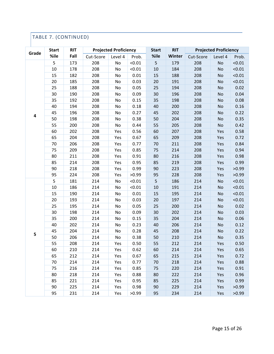## TABLE 7. (CONTINUED)

| <b>Start</b><br>Grade<br>%ile |    | <b>RIT</b> | <b>Projected Proficiency</b> |         | <b>Start</b> | <b>RIT</b> |               | <b>Projected Proficiency</b> |         |        |
|-------------------------------|----|------------|------------------------------|---------|--------------|------------|---------------|------------------------------|---------|--------|
|                               |    | Fall       | Cut-Score                    | Level 4 | Prob.        | %ile       | <b>Winter</b> | Cut-Score                    | Level 4 | Prob.  |
|                               | 5  | 173        | 208                          | No      | < 0.01       | 5          | 179           | 208                          | No      | < 0.01 |
|                               | 10 | 178        | 208                          | No      | < 0.01       | 10         | 184           | 208                          | No      | < 0.01 |
|                               | 15 | 182        | 208                          | No      | 0.01         | 15         | 188           | 208                          | No      | < 0.01 |
|                               | 20 | 185        | 208                          | No      | 0.03         | 20         | 191           | 208                          | No      | < 0.01 |
|                               | 25 | 188        | 208                          | No      | 0.05         | 25         | 194           | 208                          | No      | 0.02   |
|                               | 30 | 190        | 208                          | No      | 0.09         | 30         | 196           | 208                          | No      | 0.04   |
|                               | 35 | 192        | 208                          | No      | 0.15         | 35         | 198           | 208                          | No      | 0.08   |
|                               | 40 | 194        | 208                          | No      | 0.18         | 40         | 200           | 208                          | No      | 0.16   |
|                               | 45 | 196        | 208                          | No      | 0.27         | 45         | 202           | 208                          | No      | 0.22   |
| $\overline{\mathbf{4}}$       | 50 | 198        | 208                          | No      | 0.38         | 50         | 204           | 208                          | No      | 0.35   |
|                               | 55 | 200        | 208                          | No      | 0.44         | 55         | 205           | 208                          | No      | 0.42   |
|                               | 60 | 202        | 208                          | Yes     | 0.56         | 60         | 207           | 208                          | Yes     | 0.58   |
|                               | 65 | 204        | 208                          | Yes     | 0.67         | 65         | 209           | 208                          | Yes     | 0.72   |
|                               | 70 | 206        | 208                          | Yes     | 0.77         | 70         | 211           | 208                          | Yes     | 0.84   |
|                               | 75 | 209        | 208                          | Yes     | 0.85         | 75         | 214           | 208                          | Yes     | 0.94   |
|                               | 80 | 211        | 208                          | Yes     | 0.91         | 80         | 216           | 208                          | Yes     | 0.98   |
|                               | 85 | 214        | 208                          | Yes     | 0.95         | 85         | 219           | 208                          | Yes     | 0.99   |
|                               | 90 | 218        | 208                          | Yes     | 0.99         | 90         | 223           | 208                          | Yes     | >0.99  |
|                               | 95 | 224        | 208                          | Yes     | >0.99        | 95         | 228           | 208                          | Yes     | >0.99  |
|                               | 5  | 181        | 214                          | No      | < 0.01       | 5          | 186           | 214                          | No      | < 0.01 |
|                               | 10 | 186        | 214                          | No      | < 0.01       | 10         | 191           | 214                          | No      | < 0.01 |
|                               | 15 | 190        | 214                          | No      | 0.01         | 15         | 195           | 214                          | No      | < 0.01 |
|                               | 20 | 193        | 214                          | No      | 0.03         | 20         | 197           | 214                          | No      | < 0.01 |
|                               | 25 | 195        | 214                          | No      | 0.05         | 25         | 200           | 214                          | No      | 0.02   |
|                               | 30 | 198        | 214                          | No      | 0.09         | 30         | 202           | 214                          | No      | 0.03   |
|                               | 35 | 200        | 214                          | No      | 0.15         | 35         | 204           | 214                          | No      | 0.06   |
|                               | 40 | 202        | 214                          | No      | 0.23         | 40         | 206           | 214                          | No      | 0.12   |
| 5                             | 45 | 204        | 214                          | No      | 0.28         | 45         | 208           | 214                          | No      | 0.22   |
|                               | 50 | 206        | 214                          | No      | 0.38         | 50         | 210           | 214                          | No      | 0.35   |
|                               | 55 | 208        | 214                          | Yes     | 0.50         | 55         | 212           | 214                          | Yes     | 0.50   |
|                               | 60 | 210        | 214                          | Yes     | 0.62         | 60         | 214           | 214                          | Yes     | 0.65   |
|                               | 65 | 212        | 214                          | Yes     | 0.67         | 65         | 215           | 214                          | Yes     | 0.72   |
|                               | 70 | 214        | 214                          | Yes     | 0.77         | 70         | 218           | 214                          | Yes     | 0.88   |
|                               | 75 | 216        | 214                          | Yes     | 0.85         | 75         | 220           | 214                          | Yes     | 0.91   |
|                               | 80 | 218        | 214                          | Yes     | 0.88         | 80         | 222           | 214                          | Yes     | 0.96   |
|                               | 85 | 221        | 214                          | Yes     | 0.95         | 85         | 225           | 214                          | Yes     | 0.99   |
|                               | 90 | 225        | 214                          | Yes     | 0.98         | 90         | 229           | 214                          | Yes     | >0.99  |
|                               | 95 | 231        | 214                          | Yes     | >0.99        | 95         | 234           | 214                          | Yes     | >0.99  |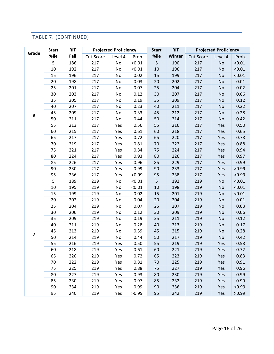## TABLE 7. (CONTINUED)

|                         | <b>Start</b> | <b>RIT</b> |           | <b>Projected Proficiency</b> |        | <b>Start</b> | <b>RIT</b>    |           | <b>Projected Proficiency</b> |        |
|-------------------------|--------------|------------|-----------|------------------------------|--------|--------------|---------------|-----------|------------------------------|--------|
| Grade                   | %ile         | Fall       | Cut-Score | Level 4                      | Prob.  | %ile         | <b>Winter</b> | Cut-Score | Level 4                      | Prob.  |
|                         | 5            | 186        | 217       | No                           | < 0.01 | 5            | 190           | 217       | No                           | < 0.01 |
|                         | 10           | 192        | 217       | No                           | < 0.01 | 10           | 196           | 217       | No                           | < 0.01 |
|                         | 15           | 196        | 217       | No                           | 0.02   | 15           | 199           | 217       | No                           | < 0.01 |
|                         | 20           | 198        | 217       | No                           | 0.03   | 20           | 202           | 217       | No                           | 0.01   |
|                         | 25           | 201        | 217       | No                           | 0.07   | 25           | 204           | 217       | No                           | 0.02   |
|                         | 30           | 203        | 217       | No                           | 0.12   | 30           | 207           | 217       | No                           | 0.06   |
|                         | 35           | 205        | 217       | No                           | 0.19   | 35           | 209           | 217       | No                           | 0.12   |
|                         | 40           | 207        | 217       | No                           | 0.23   | 40           | 211           | 217       | No                           | 0.22   |
|                         | 45           | 209        | 217       | No                           | 0.33   | 45           | 212           | 217       | No                           | 0.28   |
| 6                       | 50           | 211        | 217       | No                           | 0.44   | 50           | 214           | 217       | No                           | 0.42   |
|                         | 55           | 213        | 217       | Yes                          | 0.56   | 55           | 216           | 217       | Yes                          | 0.50   |
|                         | 60           | 215        | 217       | Yes                          | 0.61   | 60           | 218           | 217       | Yes                          | 0.65   |
|                         | 65           | 217        | 217       | Yes                          | 0.72   | 65           | 220           | 217       | Yes                          | 0.78   |
|                         | 70           | 219        | 217       | Yes                          | 0.81   | 70           | 222           | 217       | Yes                          | 0.88   |
|                         | 75           | 221        | 217       | Yes                          | 0.84   | 75           | 224           | 217       | Yes                          | 0.94   |
|                         | 80           | 224        | 217       | Yes                          | 0.93   | 80           | 226           | 217       | Yes                          | 0.97   |
|                         | 85           | 226        | 217       | Yes                          | 0.96   | 85           | 229           | 217       | Yes                          | 0.99   |
|                         | 90           | 230        | 217       | Yes                          | 0.99   | 90           | 233           | 217       | Yes                          | >0.99  |
|                         | 95           | 236        | 217       | Yes                          | >0.99  | 95           | 238           | 217       | Yes                          | >0.99  |
|                         | 5            | 189        | 219       | No                           | < 0.01 | 5            | 192           | 219       | No                           | < 0.01 |
|                         | 10           | 195        | 219       | No                           | < 0.01 | 10           | 198           | 219       | No                           | < 0.01 |
|                         | 15           | 199        | 219       | No                           | 0.02   | 15           | 201           | 219       | No                           | < 0.01 |
|                         | 20           | 202        | 219       | No                           | 0.04   | 20           | 204           | 219       | No                           | 0.01   |
|                         | 25           | 204        | 219       | No                           | 0.07   | 25           | 207           | 219       | No                           | 0.03   |
|                         | 30           | 206        | 219       | No                           | 0.12   | 30           | 209           | 219       | No                           | 0.06   |
|                         | 35           | 209        | 219       | No                           | 0.19   | 35           | 211           | 219       | No                           | 0.12   |
|                         | 40           | 211        | 219       | No                           | 0.28   | 40           | 213           | 219       | No                           | 0.17   |
| $\overline{\mathbf{z}}$ | 45           | 213        | 219       | No                           | 0.39   | 45           | 215           | 219       | No                           | 0.28   |
|                         | 50           | 214        | 219       | No                           | 0.44   | 50           | 217           | 219       | No                           | 0.42   |
|                         | 55           | 216        | 219       | Yes                          | 0.50   | 55           | 219           | 219       | Yes                          | 0.58   |
|                         | 60           | 218        | 219       | Yes                          | 0.61   | 60           | 221           | 219       | Yes                          | 0.72   |
|                         | 65           | 220        | 219       | Yes                          | 0.72   | 65           | 223           | 219       | Yes                          | 0.83   |
|                         | 70           | 222        | 219       | Yes                          | 0.81   | 70           | 225           | 219       | Yes                          | 0.91   |
|                         | 75           | 225        | 219       | Yes                          | 0.88   | 75           | 227           | 219       | Yes                          | 0.96   |
|                         | 80           | 227        | 219       | Yes                          | 0.93   | 80           | 230           | 219       | Yes                          | 0.99   |
|                         | 85           | 230        | 219       | Yes                          | 0.97   | 85           | 232           | 219       | Yes                          | 0.99   |
|                         | 90           | 234        | 219       | Yes                          | 0.99   | 90           | 236           | 219       | Yes                          | >0.99  |
|                         | 95           | 240        | 219       | Yes                          | >0.99  | 95           | 242           | 219       | Yes                          | >0.99  |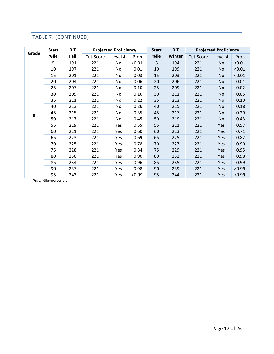### TABLE 7. (CONTINUED)

|       | <b>Start</b> | <b>RIT</b> | <b>Projected Proficiency</b> |         |        | <b>Start</b> | <b>RIT</b> |           | <b>Projected Proficiency</b> |        |
|-------|--------------|------------|------------------------------|---------|--------|--------------|------------|-----------|------------------------------|--------|
| Grade | %ile         | Fall       | Cut-Score                    | Level 4 | Prob.  | %ile         | Winter     | Cut-Score | Level 4                      | Prob.  |
|       | 5            | 191        | 221                          | No      | < 0.01 | 5            | 194        | 221       | No                           | < 0.01 |
|       | 10           | 197        | 221                          | No      | 0.01   | 10           | 199        | 221       | No                           | < 0.01 |
|       | 15           | 201        | 221                          | No      | 0.03   | 15           | 203        | 221       | No                           | < 0.01 |
|       | 20           | 204        | 221                          | No      | 0.06   | 20           | 206        | 221       | No                           | 0.01   |
|       | 25           | 207        | 221                          | No      | 0.10   | 25           | 209        | 221       | No                           | 0.02   |
|       | 30           | 209        | 221                          | No      | 0.16   | 30           | 211        | 221       | No                           | 0.05   |
|       | 35           | 211        | 221                          | No      | 0.22   | 35           | 213        | 221       | No                           | 0.10   |
|       | 40           | 213        | 221                          | No      | 0.26   | 40           | 215        | 221       | No                           | 0.18   |
| 8     | 45           | 215        | 221                          | No      | 0.35   | 45           | 217        | 221       | No                           | 0.29   |
|       | 50           | 217        | 221                          | No      | 0.45   | 50           | 219        | 221       | No                           | 0.43   |
|       | 55           | 219        | 221                          | Yes     | 0.55   | 55           | 221        | 221       | Yes                          | 0.57   |
|       | 60           | 221        | 221                          | Yes     | 0.60   | 60           | 223        | 221       | Yes                          | 0.71   |
|       | 65           | 223        | 221                          | Yes     | 0.69   | 65           | 225        | 221       | Yes                          | 0.82   |
|       | 70           | 225        | 221                          | Yes     | 0.78   | 70           | 227        | 221       | Yes                          | 0.90   |
|       | 75           | 228        | 221                          | Yes     | 0.84   | 75           | 229        | 221       | Yes                          | 0.95   |
|       | 80           | 230        | 221                          | Yes     | 0.90   | 80           | 232        | 221       | Yes                          | 0.98   |
|       | 85           | 234        | 221                          | Yes     | 0.96   | 85           | 235        | 221       | Yes                          | 0.99   |
|       | 90           | 237        | 221                          | Yes     | 0.98   | 90           | 239        | 221       | Yes                          | >0.99  |
|       | 95           | 243        | 221                          | Yes     | >0.99  | 95           | 244        | 221       | Yes                          | >0.99  |

*Note.* %ile=percentile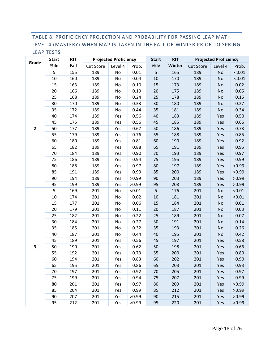## TABLE 8. PROFICIENCY PROJECTION AND PROBABILITY FOR PASSING LEAP MATH LEVEL 4 (MASTERY) WHEN MAP IS TAKEN IN THE FALL OR WINTER PRIOR TO SPRING LEAP TESTS

|              | <b>Start</b> | <b>RIT</b> |           | <b>Projected Proficiency</b> |        | <b>Start</b> | <b>RIT</b> | <b>Projected Proficiency</b> |         |        |
|--------------|--------------|------------|-----------|------------------------------|--------|--------------|------------|------------------------------|---------|--------|
| Grade        | %ile         | Fall       | Cut Score | Level 4                      | Prob.  | %ile         | Winter     | <b>Cut Score</b>             | Level 4 | Prob.  |
|              | 5            | 155        | 189       | No                           | 0.01   | 5            | 165        | 189                          | No      | < 0.01 |
|              | 10           | 160        | 189       | No                           | 0.04   | 10           | 170        | 189                          | No      | < 0.01 |
|              | 15           | 163        | 189       | No                           | 0.10   | 15           | 173        | 189                          | No      | 0.02   |
|              | 20           | 166        | 189       | No                           | 0.19   | 20           | 175        | 189                          | No      | 0.05   |
|              | 25           | 168        | 189       | No                           | 0.24   | 25           | 178        | 189                          | No      | 0.15   |
|              | 30           | 170        | 189       | No                           | 0.33   | 30           | 180        | 189                          | No      | 0.27   |
|              | 35           | 172        | 189       | No                           | 0.44   | 35           | 181        | 189                          | No      | 0.34   |
|              | 40           | 174        | 189       | Yes                          | 0.56   | 40           | 183        | 189                          | Yes     | 0.50   |
|              | 45           | 175        | 189       | Yes                          | 0.56   | 45           | 185        | 189                          | Yes     | 0.66   |
| $\mathbf{2}$ | 50           | 177        | 189       | Yes                          | 0.67   | 50           | 186        | 189                          | Yes     | 0.73   |
|              | 55           | 179        | 189       | Yes                          | 0.76   | 55           | 188        | 189                          | Yes     | 0.85   |
|              | 60           | 180        | 189       | Yes                          | 0.81   | 60           | 190        | 189                          | Yes     | 0.92   |
|              | 65           | 182        | 189       | Yes                          | 0.88   | 65           | 191        | 189                          | Yes     | 0.95   |
|              | 70           | 184        | 189       | Yes                          | 0.90   | 70           | 193        | 189                          | Yes     | 0.97   |
|              | 75           | 186        | 189       | Yes                          | 0.94   | 75           | 195        | 189                          | Yes     | 0.99   |
|              | 80           | 188        | 189       | Yes                          | 0.97   | 80           | 197        | 189                          | Yes     | >0.99  |
|              | 85           | 191        | 189       | Yes                          | 0.99   | 85           | 200        | 189                          | Yes     | >0.99  |
|              | 90           | 194        | 189       | Yes                          | >0.99  | 90           | 203        | 189                          | Yes     | >0.99  |
|              | 95           | 199        | 189       | Yes                          | >0.99  | 95           | 208        | 189                          | Yes     | >0.99  |
|              | 5            | 169        | 201       | No                           | < 0.01 | 5            | 176        | 201                          | No      | < 0.01 |
|              | 10           | 174        | 201       | No                           | 0.02   | 10           | 181        | 201                          | No      | < 0.01 |
|              | 15           | 177        | 201       | No                           | 0.06   | 15           | 184        | 201                          | No      | 0.01   |
|              | 20           | 179        | 201       | No                           | 0.11   | 20           | 187        | 201                          | No      | 0.03   |
|              | 25           | 182        | 201       | No                           | 0.22   | 25           | 189        | 201                          | No      | 0.07   |
|              | 30           | 184        | 201       | No                           | 0.27   | 30           | 191        | 201                          | No      | 0.14   |
|              | 35           | 185        | 201       | No                           | 0.32   | 35           | 193        | 201                          | No      | 0.26   |
|              | 40           | 187        | 201       | No                           | 0.44   | 40           | 195        | 201                          | No      | 0.42   |
|              | 45           | 189        | 201       | Yes                          | 0.56   | 45           | 197        | 201                          | Yes     | 0.58   |
| 3            | 50           | 190        | 201       | Yes                          | 0.62   | 50           | 198        | 201                          | Yes     | 0.66   |
|              | 55           | 192        | 201       | Yes                          | 0.73   | 55           | 200        | 201                          | Yes     | 0.80   |
|              | 60           | 194        | 201       | Yes                          | 0.83   | 60           | 202        | 201                          | Yes     | 0.90   |
|              | 65           | 195        | 201       | Yes                          | 0.86   | 65           | 203        | 201                          | Yes     | 0.93   |
|              | 70           | 197        | 201       | Yes                          | 0.92   | 70           | 205        | 201                          | Yes     | 0.97   |
|              | 75           | 199        | 201       | Yes                          | 0.94   | 75           | 207        | 201                          | Yes     | 0.99   |
|              | 80           | 201        | 201       | Yes                          | 0.97   | 80           | 209        | 201                          | Yes     | >0.99  |
|              | 85           | 204        | 201       | Yes                          | 0.99   | 85           | 212        | 201                          | Yes     | >0.99  |
|              | 90           | 207        | 201       | Yes                          | >0.99  | 90           | 215        | 201                          | Yes     | >0.99  |
|              | 95           | 212        | 201       | Yes                          | >0.99  | 95           | 220        | 201                          | Yes     | >0.99  |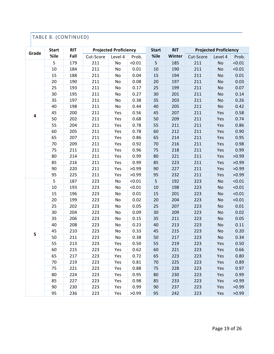## TABLE 8. (CONTINUED)

|                         | <b>Start</b> | <b>RIT</b> |           | <b>Projected Proficiency</b> |        | <b>Start</b> | <b>RIT</b><br><b>Projected Proficiency</b> |           |         |        |
|-------------------------|--------------|------------|-----------|------------------------------|--------|--------------|--------------------------------------------|-----------|---------|--------|
| Grade                   | %ile         | Fall       | Cut-Score | Level 4                      | Prob.  | %ile         | <b>Winter</b>                              | Cut-Score | Level 4 | Prob.  |
|                         | 5            | 179        | 211       | No                           | < 0.01 | 5            | 185                                        | 211       | No      | < 0.01 |
|                         | $10\,$       | 184        | 211       | No                           | 0.01   | 10           | 190                                        | 211       | No      | < 0.01 |
|                         | 15           | 188        | 211       | No                           | 0.04   | 15           | 194                                        | 211       | No      | 0.01   |
|                         | 20           | 190        | 211       | No                           | 0.08   | 20           | 197                                        | 211       | No      | 0.03   |
|                         | 25           | 193        | 211       | No                           | 0.17   | 25           | 199                                        | 211       | No      | 0.07   |
|                         | 30           | 195        | 211       | No                           | 0.27   | 30           | 201                                        | 211       | No      | 0.14   |
|                         | 35           | 197        | 211       | No                           | 0.38   | 35           | 203                                        | 211       | No      | 0.26   |
|                         | 40           | 198        | 211       | No                           | 0.44   | 40           | 205                                        | 211       | No      | 0.42   |
|                         | 45           | 200        | 211       | Yes                          | 0.56   | 45           | 207                                        | 211       | Yes     | 0.58   |
| $\overline{\mathbf{4}}$ | 50           | 202        | 211       | Yes                          | 0.68   | 50           | 209                                        | 211       | Yes     | 0.74   |
|                         | 55           | 204        | 211       | Yes                          | 0.78   | 55           | 211                                        | 211       | Yes     | 0.86   |
|                         | 60           | 205        | 211       | Yes                          | 0.78   | 60           | 212                                        | 211       | Yes     | 0.90   |
|                         | 65           | 207        | 211       | Yes                          | 0.86   | 65           | 214                                        | 211       | Yes     | 0.95   |
|                         | 70           | 209        | 211       | Yes                          | 0.92   | 70           | 216                                        | 211       | Yes     | 0.98   |
|                         | 75           | 211        | 211       | Yes                          | 0.96   | 75           | 218                                        | 211       | Yes     | 0.99   |
|                         | 80           | 214        | 211       | Yes                          | 0.99   | 80           | 221                                        | 211       | Yes     | >0.99  |
|                         | 85           | 216        | 211       | Yes                          | 0.99   | 85           | 223                                        | 211       | Yes     | >0.99  |
|                         | 90           | 220        | 211       | Yes                          | >0.99  | 90           | 227                                        | 211       | Yes     | >0.99  |
|                         | 95           | 225        | 211       | Yes                          | >0.99  | 95           | 232                                        | 211       | Yes     | >0.99  |
|                         | 5            | 187        | 223       | No                           | < 0.01 | 5            | 192                                        | 223       | No      | < 0.01 |
|                         | 10           | 193        | 223       | No                           | < 0.01 | 10           | 198                                        | 223       | No      | < 0.01 |
|                         | 15           | 196        | 223       | No                           | 0.01   | 15           | 201                                        | 223       | No      | < 0.01 |
|                         | 20           | 199        | 223       | No                           | 0.02   | 20           | 204                                        | 223       | No      | < 0.01 |
|                         | 25           | 202        | 223       | No                           | 0.05   | 25           | 207                                        | 223       | No      | 0.01   |
|                         | 30           | 204        | 223       | No                           | 0.09   | 30           | 209                                        | 223       | No      | 0.02   |
|                         | 35           | 206        | 223       | No                           | 0.15   | 35           | 211                                        | 223       | No      | 0.05   |
|                         | 40           | 208        | 223       | No                           | 0.23   | 40           | 213                                        | 223       | No      | 0.11   |
|                         | 45           | 210        | 223       | No                           | 0.33   | 45           | 215                                        | 223       | No      | 0.20   |
| 5                       | 50           | 211        | 223       | No                           | 0.38   | 50           | 217                                        | 223       | No      | 0.34   |
|                         | 55           | 213        | 223       | Yes                          | 0.50   | 55           | 219                                        | 223       | Yes     | 0.50   |
|                         | 60           | 215        | 223       | Yes                          | 0.62   | 60           | 221                                        | 223       | Yes     | 0.66   |
|                         | 65           | 217        | 223       | Yes                          | 0.72   | 65           | 223                                        | 223       | Yes     | 0.80   |
|                         | 70           | 219        | 223       | Yes                          | 0.81   | 70           | 225                                        | 223       | Yes     | 0.89   |
|                         | 75           | 221        | 223       | Yes                          | 0.88   | 75           | 228                                        | 223       | Yes     | 0.97   |
|                         | 80           | 224        | 223       | Yes                          | 0.95   | 80           | 230                                        | 223       | Yes     | 0.99   |
|                         | 85           | 227        | 223       | Yes                          | 0.98   | 85           | 233                                        | 223       | Yes     | >0.99  |
|                         | 90           | 230        | 223       | Yes                          | 0.99   | 90           | 237                                        | 223       | Yes     | >0.99  |
|                         | 95           | 236        | 223       | Yes                          | >0.99  | 95           | 242                                        | 223       | Yes     | >0.99  |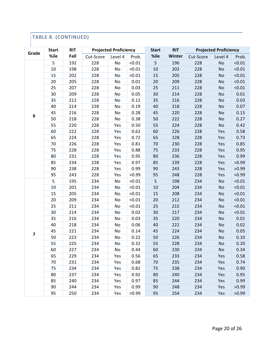## TABLE 8. (CONTINUED)

|                         | <b>Start</b> | <b>RIT</b><br><b>Projected Proficiency</b> |           |         | <b>Start</b> | <b>RIT</b> |        | <b>Projected Proficiency</b> |         |        |
|-------------------------|--------------|--------------------------------------------|-----------|---------|--------------|------------|--------|------------------------------|---------|--------|
| Grade                   | %ile         | Fall                                       | Cut-Score | Level 4 | Prob.        | %ile       | Winter | Cut-Score                    | Level 4 | Prob.  |
|                         | 5            | 192                                        | 228       | No      | < 0.01       | 5          | 196    | 228                          | No      | < 0.01 |
|                         | 10           | 198                                        | 228       | No      | < 0.01       | 10         | 202    | 228                          | No      | < 0.01 |
|                         | 15           | 202                                        | 228       | No      | < 0.01       | 15         | 205    | 228                          | No      | < 0.01 |
|                         | 20           | 205                                        | 228       | No      | 0.01         | 20         | 209    | 228                          | No      | < 0.01 |
|                         | 25           | 207                                        | 228       | No      | 0.03         | 25         | 211    | 228                          | No      | < 0.01 |
|                         | 30           | 209                                        | 228       | No      | 0.05         | 30         | 214    | 228                          | No      | 0.01   |
|                         | 35           | 212                                        | 228       | No      | 0.12         | 35         | 216    | 228                          | No      | 0.03   |
|                         | 40           | 214                                        | 228       | No      | 0.19         | 40         | 218    | 228                          | No      | 0.07   |
|                         | 45           | 216                                        | 228       | No      | 0.28         | 45         | 220    | 228                          | No      | 0.15   |
| 6                       | 50           | 218                                        | 228       | No      | 0.38         | 50         | 222    | 228                          | No      | 0.27   |
|                         | 55           | 220                                        | 228       | Yes     | 0.50         | 55         | 224    | 228                          | No      | 0.42   |
|                         | 60           | 222                                        | 228       | Yes     | 0.62         | 60         | 226    | 228                          | Yes     | 0.58   |
|                         | 65           | 224                                        | 228       | Yes     | 0.72         | 65         | 228    | 228                          | Yes     | 0.73   |
|                         | 70           | 226                                        | 228       | Yes     | 0.81         | 70         | 230    | 228                          | Yes     | 0.85   |
|                         | 75           | 228                                        | 228       | Yes     | 0.88         | 75         | 233    | 228                          | Yes     | 0.95   |
|                         | 80           | 231                                        | 228       | Yes     | 0.95         | 80         | 236    | 228                          | Yes     | 0.99   |
|                         | 85           | 234                                        | 228       | Yes     | 0.97         | 85         | 239    | 228                          | Yes     | >0.99  |
|                         | 90           | 238                                        | 228       | Yes     | 0.99         | 90         | 243    | 228                          | Yes     | >0.99  |
|                         | 95           | 243                                        | 228       | Yes     | >0.99        | 95         | 248    | 228                          | Yes     | >0.99  |
|                         | 5            | 195                                        | 234       | No      | < 0.01       | 5          | 198    | 234                          | No      | < 0.01 |
|                         | 10           | 201                                        | 234       | No      | < 0.01       | 10         | 204    | 234                          | No      | < 0.01 |
|                         | 15           | 205                                        | 234       | No      | < 0.01       | 15         | 208    | 234                          | No      | < 0.01 |
|                         | 20           | 209                                        | 234       | No      | < 0.01       | 20         | 212    | 234                          | No      | < 0.01 |
|                         | 25           | 211                                        | 234       | No      | < 0.01       | 25         | 215    | 234                          | No      | < 0.01 |
|                         | 30           | 214                                        | 234       | No      | 0.02         | 30         | 217    | 234                          | No      | < 0.01 |
|                         | 35           | 216                                        | 234       | No      | 0.03         | 35         | 220    | 234                          | No      | 0.01   |
|                         | 40           | 218                                        | 234       | No      | 0.06         | 40         | 222    | 234                          | No      | 0.02   |
| $\overline{\mathbf{z}}$ | 45           | 221                                        | 234       | No      | 0.14         | 45         | 224    | 234                          | No      | 0.05   |
|                         | 50           | 223                                        | 234       | No      | 0.22         | 50         | 226    | 234                          | No      | 0.10   |
|                         | 55           | 225                                        | 234       | No      | 0.32         | 55         | 228    | 234                          | No      | 0.20   |
|                         | 60           | 227                                        | 234       | No      | 0.44         | 60         | 230    | 234                          | No      | 0.34   |
|                         | 65           | 229                                        | 234       | Yes     | 0.56         | 65         | 233    | 234                          | Yes     | 0.58   |
|                         | 70           | 231                                        | 234       | Yes     | 0.68         | 70         | 235    | 234                          | Yes     | 0.74   |
|                         | 75           | 234                                        | 234       | Yes     | 0.82         | 75         | 238    | 234                          | Yes     | 0.90   |
|                         | 80           | 237                                        | 234       | Yes     | 0.92         | 80         | 240    | 234                          | Yes     | 0.95   |
|                         | 85           | 240                                        | 234       | Yes     | 0.97         | 85         | 244    | 234                          | Yes     | 0.99   |
|                         | 90           | 244                                        | 234       | Yes     | 0.99         | 90         | 248    | 234                          | Yes     | >0.99  |
|                         | 95           | 250                                        | 234       | Yes     | >0.99        | 95         | 254    | 234                          | Yes     | >0.99  |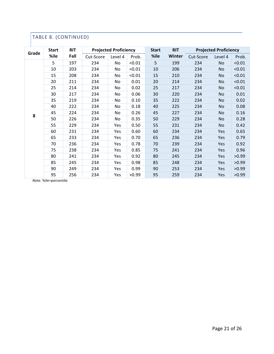### TABLE 8. (CONTINUED)

| <b>Start</b> |      | <b>RIT</b> | <b>Projected Proficiency</b> |         |        | <b>Start</b> | <b>RIT</b>    | <b>Projected Proficiency</b> |            |        |  |
|--------------|------|------------|------------------------------|---------|--------|--------------|---------------|------------------------------|------------|--------|--|
| Grade        | %ile | Fall       | Cut-Score                    | Level 4 | Prob.  | %ile         | <b>Winter</b> | Cut-Score                    | Level 4    | Prob.  |  |
|              | 5    | 197        | 234                          | No      | < 0.01 | 5            | 199           | 234                          | No         | < 0.01 |  |
|              | 10   | 203        | 234                          | No      | < 0.01 | 10           | 206           | 234                          | No         | < 0.01 |  |
|              | 15   | 208        | 234                          | No      | < 0.01 | 15           | 210           | 234                          | No         | < 0.01 |  |
|              | 20   | 211        | 234                          | No      | 0.01   | 20           | 214           | 234                          | No.        | < 0.01 |  |
|              | 25   | 214        | 234                          | No      | 0.02   | 25           | 217           | 234                          | No         | < 0.01 |  |
|              | 30   | 217        | 234                          | No      | 0.06   | 30           | 220           | 234                          | No         | 0.01   |  |
|              | 35   | 219        | 234                          | No      | 0.10   | 35           | 222           | 234                          | No         | 0.02   |  |
|              | 40   | 222        | 234                          | No      | 0.18   | 40           | 225           | 234                          | No         | 0.08   |  |
| 8            | 45   | 224        | 234                          | No      | 0.26   | 45           | 227           | 234                          | No         | 0.16   |  |
|              | 50   | 226        | 234                          | No      | 0.35   | 50           | 229           | 234                          | No         | 0.28   |  |
|              | 55   | 229        | 234                          | Yes     | 0.50   | 55           | 231           | 234                          | No         | 0.42   |  |
|              | 60   | 231        | 234                          | Yes     | 0.60   | 60           | 234           | 234                          | Yes        | 0.65   |  |
|              | 65   | 233        | 234                          | Yes     | 0.70   | 65           | 236           | 234                          | Yes        | 0.79   |  |
|              | 70   | 236        | 234                          | Yes     | 0.78   | 70           | 239           | 234                          | Yes        | 0.92   |  |
|              | 75   | 238        | 234                          | Yes     | 0.85   | 75           | 241           | 234                          | Yes        | 0.96   |  |
|              | 80   | 241        | 234                          | Yes     | 0.92   | 80           | 245           | 234                          | Yes        | >0.99  |  |
|              | 85   | 245        | 234                          | Yes     | 0.98   | 85           | 248           | 234                          | Yes        | >0.99  |  |
|              | 90   | 249        | 234                          | Yes     | 0.99   | 90           | 253           | 234                          | <b>Yes</b> | >0.99  |  |
|              | 95   | 256        | 234                          | Yes     | >0.99  | 95           | 259           | 234                          | Yes        | >0.99  |  |

*Note.* %ile=percentile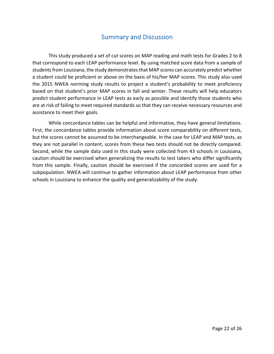# **Summary and Discussion**

This study produced a set of cut scores on MAP reading and math tests for Grades 2 to 8 that correspond to each LEAP performance level. By using matched score data from a sample of students from Louisiana, the study demonstrates that MAP scores can accurately predict whether a student could be proficient or above on the basis of his/her MAP scores. This study also used the 2015 NWEA norming study results to project a student's probability to meet proficiency based on that student's prior MAP scores in fall and winter. These results will help educators predict student performance in LEAP tests as early as possible and identify those students who are at risk of failing to meet required standards so that they can receive necessary resources and assistance to meet their goals.

While concordance tables can be helpful and informative, they have general limitations. First, the concordance tables provide information about score comparability on different tests, but the scores cannot be assumed to be interchangeable. In the case for LEAP and MAP tests, as they are not parallel in content, scores from these two tests should not be directly compared. Second, while the sample data used in this study were collected from 43 schools in Louisiana, caution should be exercised when generalizing the results to test takers who differ significantly from this sample. Finally, caution should be exercised if the concorded scores are used for a subpopulation. NWEA will continue to gather information about LEAP performance from other schools in Louisiana to enhance the quality and generalizability of the study.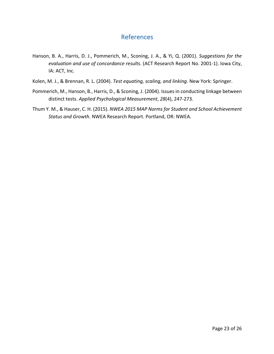# References

- Hanson, B. A., Harris, D. J., Pommerich, M., Sconing, J. A., & Yi, Q. (2001). Suggestions for the *evaluation and use of concordance results*. (ACT Research Report No. 2001-1). Iowa City, IA: ACT, Inc.
- Kolen, M. J., & Brennan, R. L. (2004). *Test equating, scaling, and linking*. New York: Springer.
- Pommerich, M., Hanson, B., Harris, D., & Sconing, J. (2004). Issues in conducting linkage between distinct tests. *Applied Psychological Measurement*, 28(4), 247-273.
- Thum Y. M., & Hauser, C. H. (2015). *NWEA 2015 MAP Norms for Student and School Achievement* Status and Growth. NWEA Research Report. Portland, OR: NWEA.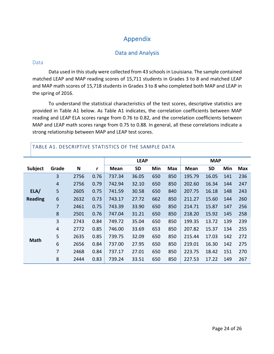# Appendix

# Data and Analysis

#### Data

Data used in this study were collected from 43 schools in Louisiana. The sample contained matched LEAP and MAP reading scores of 15,711 students in Grades 3 to 8 and matched LEAP and MAP math scores of 15,718 students in Grades 3 to 8 who completed both MAP and LEAP in the spring of 2016.

To understand the statistical characteristics of the test scores, descriptive statistics are provided in Table A1 below. As Table A1 indicates, the correlation coefficients between MAP reading and LEAP ELA scores range from 0.76 to 0.82, and the correlation coefficients between MAP and LEAP math scores range from 0.75 to 0.88. In general, all these correlations indicate a strong relationship between MAP and LEAP test scores.

|                |                |      |             |             | <b>LEAP</b> |            |            |             | <b>MAP</b> |     |            |
|----------------|----------------|------|-------------|-------------|-------------|------------|------------|-------------|------------|-----|------------|
| <b>Subject</b> | Grade          | N    | $\mathbf r$ | <b>Mean</b> | <b>SD</b>   | <b>Min</b> | <b>Max</b> | <b>Mean</b> | <b>SD</b>  | Min | <b>Max</b> |
|                | 3              | 2756 | 0.76        | 737.34      | 36.05       | 650        | 850        | 195.79      | 16.05      | 141 | 236        |
|                | $\overline{4}$ | 2756 | 0.79        | 742.94      | 32.10       | 650        | 850        | 202.60      | 16.34      | 144 | 247        |
| ELA/           | 5              | 2605 | 0.75        | 741.59      | 30.58       | 650        | 840        | 207.75      | 16.18      | 148 | 243        |
| <b>Reading</b> | 6              | 2632 | 0.73        | 743.17      | 27.72       | 662        | 850        | 211.27      | 15.60      | 144 | 260        |
|                | 7              | 2461 | 0.75        | 743.39      | 33.90       | 650        | 850        | 214.71      | 15.87      | 147 | 256        |
|                | 8              | 2501 | 0.76        | 747.04      | 31.21       | 650        | 850        | 218.20      | 15.92      | 145 | 258        |
|                | 3              | 2743 | 0.84        | 749.72      | 35.04       | 650        | 850        | 199.35      | 13.72      | 139 | 239        |
|                | 4              | 2772 | 0.85        | 746.00      | 33.69       | 653        | 850        | 207.82      | 15.37      | 134 | 255        |
| <b>Math</b>    | 5              | 2635 | 0.85        | 739.75      | 32.09       | 650        | 850        | 215.44      | 17.03      | 142 | 272        |
|                | 6              | 2656 | 0.84        | 737.00      | 27.95       | 650        | 850        | 219.01      | 16.30      | 142 | 275        |
|                | 7              | 2468 | 0.84        | 737.17      | 27.01       | 650        | 850        | 223.75      | 18.42      | 151 | 270        |
|                | 8              | 2444 | 0.83        | 739.24      | 33.51       | 650        | 850        | 227.53      | 17.22      | 149 | 267        |

#### TABLE A1. DESCRIPTIVE STATISTICS OF THE SAMPLE DATA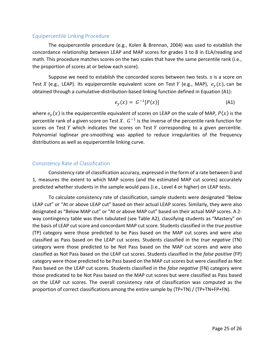#### Equipercentile Linking Procedure

The equipercentile procedure  $(e.g.,$  Kolen & Brennan, 2004) was used to establish the concordance relationship between LEAP and MAP scores for grades 3 to 8 in ELA/reading and math. This procedure matches scores on the two scales that have the same percentile rank (i.e., the proportion of scores at or below each score).

Suppose we need to establish the concorded scores between two tests.  $x$  is a score on Test X (e.g., LEAP). Its equipercentile equivalent score on Test Y (e.g., MAP),  $e_y(x)$ , can be obtained through a cumulative-distribution-based linking function defined in Equation  $(A1)$ :

$$
e_y(x) = G^{-1}[P(x)]
$$
 (A1)

where  $e_v(x)$  is the equipercentile equivalent of scores on LEAP on the scale of MAP,  $P(x)$  is the percentile rank of a given score on Test X.  $G^{-1}$  is the inverse of the percentile rank function for scores on Test Y which indicates the scores on Test Y corresponding to a given percentile. Polynomial loglinear pre-smoothing was applied to reduce irregularities of the frequency distributions as well as equipercentile linking curve.

#### Consistency Rate of Classification

Consistency rate of classification accuracy, expressed in the form of a rate between 0 and 1, measures the extent to which MAP scores (and the estimated MAP cut scores) accurately predicted whether students in the sample would pass (i.e., Level 4 or higher) on LEAP tests.

To calculate consistency rate of classification, sample students were designated "Below LEAP cut" or "At or above LEAP cut" based on their actual LEAP scores. Similarly, they were also designated as "Below MAP cut" or "At or above MAP cut" based on their actual MAP scores. A 2way contingency table was then tabulated (see Table A2), classifying students as "Mastery" on the basis of LEAP cut score and concordant MAP cut score. Students classified in the *true positive* (TP) category were those predicted to be Pass based on the MAP cut scores and were also classified as Pass based on the LEAP cut scores. Students classified in the *true negative* (TN) category were those predicted to be Not Pass based on the MAP cut scores and were also classified as Not Pass based on the LEAP cut scores. Students classified in the *false positive* (FP) category were those predicted to be Pass based on the MAP cut scores but were classified as Not Pass based on the LEAP cut scores. Students classified in the *false negative* (FN) category were those predicated to be Not Pass based on the MAP cut scores but were classified as Pass based on the LEAP cut scores. The overall consistency rate of classification was computed as the proportion of correct classifications among the entire sample by (TP+TN) / (TP+TN+FP+FN).